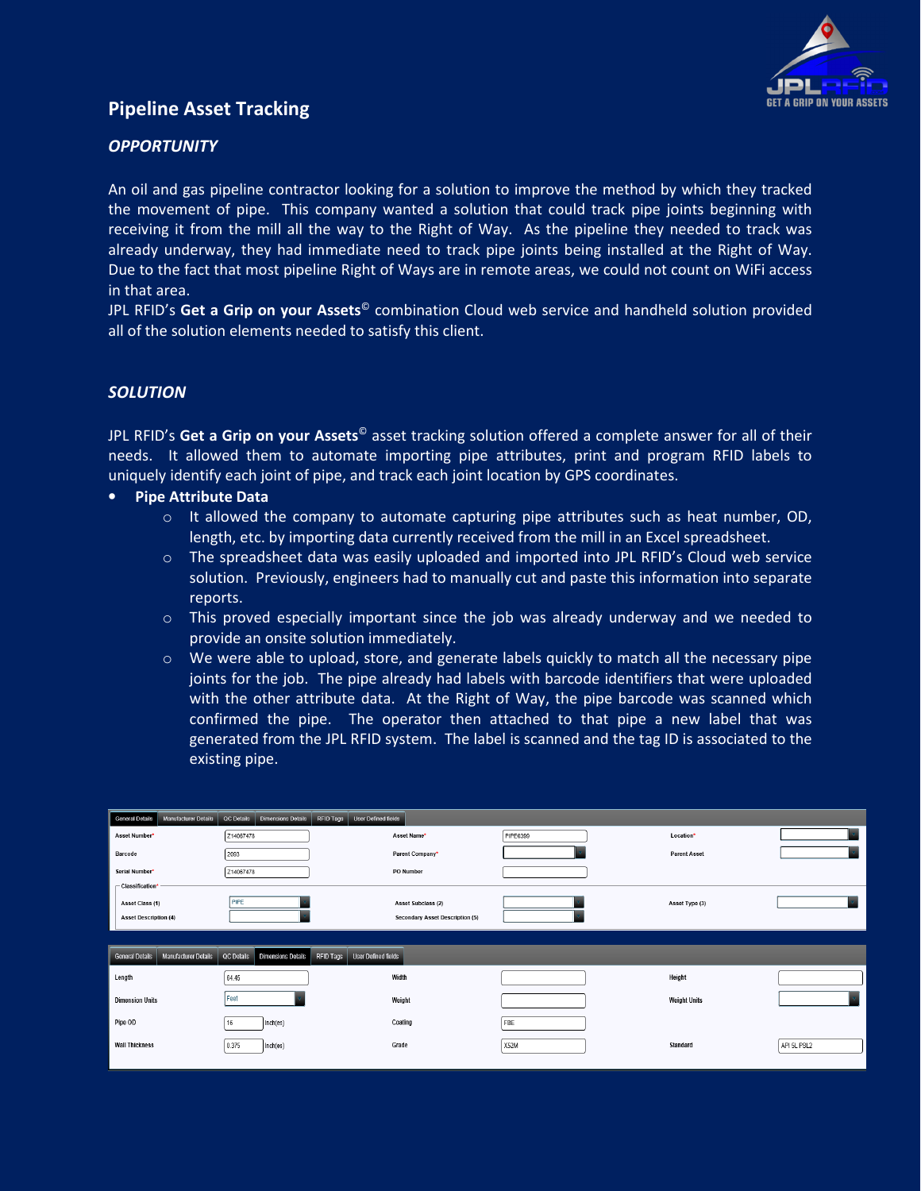

# **Pipeline Asset Tracking**

# *OPPORTUNITY*

An oil and gas pipeline contractor looking for a solution to improve the method by which they tracked the movement of pipe. This company wanted a solution that could track pipe joints beginning with receiving it from the mill all the way to the Right of Way. As the pipeline they needed to track was already underway, they had immediate need to track pipe joints being installed at the Right of Way. Due to the fact that most pipeline Right of Ways are in remote areas, we could not count on WiFi access in that area.

JPL RFID's **Get a Grip on your Assets**© combination Cloud web service and handheld solution provided all of the solution elements needed to satisfy this client.

### *SOLUTION*

JPL RFID's **Get a Grip on your Assets**© asset tracking solution offered a complete answer for all of their needs. It allowed them to automate importing pipe attributes, print and program RFID labels to uniquely identify each joint of pipe, and track each joint location by GPS coordinates.

#### • **Pipe Attribute Data**

- $\circ$  It allowed the company to automate capturing pipe attributes such as heat number, OD, length, etc. by importing data currently received from the mill in an Excel spreadsheet.
- o The spreadsheet data was easily uploaded and imported into JPL RFID's Cloud web service solution. Previously, engineers had to manually cut and paste this information into separate reports.
- $\circ$  This proved especially important since the job was already underway and we needed to provide an onsite solution immediately.
- $\circ$  We were able to upload, store, and generate labels quickly to match all the necessary pipe joints for the job. The pipe already had labels with barcode identifiers that were uploaded with the other attribute data. At the Right of Way, the pipe barcode was scanned which confirmed the pipe. The operator then attached to that pipe a new label that was generated from the JPL RFID system. The label is scanned and the tag ID is associated to the existing pipe.

| <b>Manufacturer Details</b><br><b>General Details</b> | <b>Dimensions Details</b><br>QC Details | <b>User Defined fields</b><br>RFID Tags        |          |                     |             |
|-------------------------------------------------------|-----------------------------------------|------------------------------------------------|----------|---------------------|-------------|
| Asset Number*                                         | Z14067478                               | Asset Name*                                    | PIPE0399 | Location*           |             |
| Barcode                                               | 2093                                    | Parent Company*                                |          | <b>Parent Asset</b> |             |
| Serial Number*                                        | Z14067478                               | <b>PO Number</b>                               |          |                     |             |
| $\Gamma$ Classification*                              |                                         |                                                |          |                     |             |
| Asset Class (1)                                       | PIPE                                    | Asset Subclass (2)                             |          | Asset Type (3)      |             |
| <b>Asset Description (4)</b>                          |                                         | Secondary Asset Description (5)                |          |                     |             |
|                                                       |                                         |                                                |          |                     |             |
|                                                       |                                         |                                                |          |                     |             |
| <b>General Details</b><br><b>Manufacturer Details</b> | QC Details<br><b>Dimensions Details</b> | <b>RFID Tags</b><br><b>User Defined fields</b> |          |                     |             |
| Length                                                | 64.45                                   | Width                                          |          | Height              |             |
| <b>Dimension Units</b>                                | Feet                                    | Weight                                         |          | <b>Weight Units</b> |             |
| Pipe OD                                               | Inch(es)<br>16                          | Coating                                        | FBE      |                     |             |
| <b>Wall Thickness</b>                                 | 0.375<br>Inch(es)                       | Grade                                          | X52M     | Standard            | API 5L PSL2 |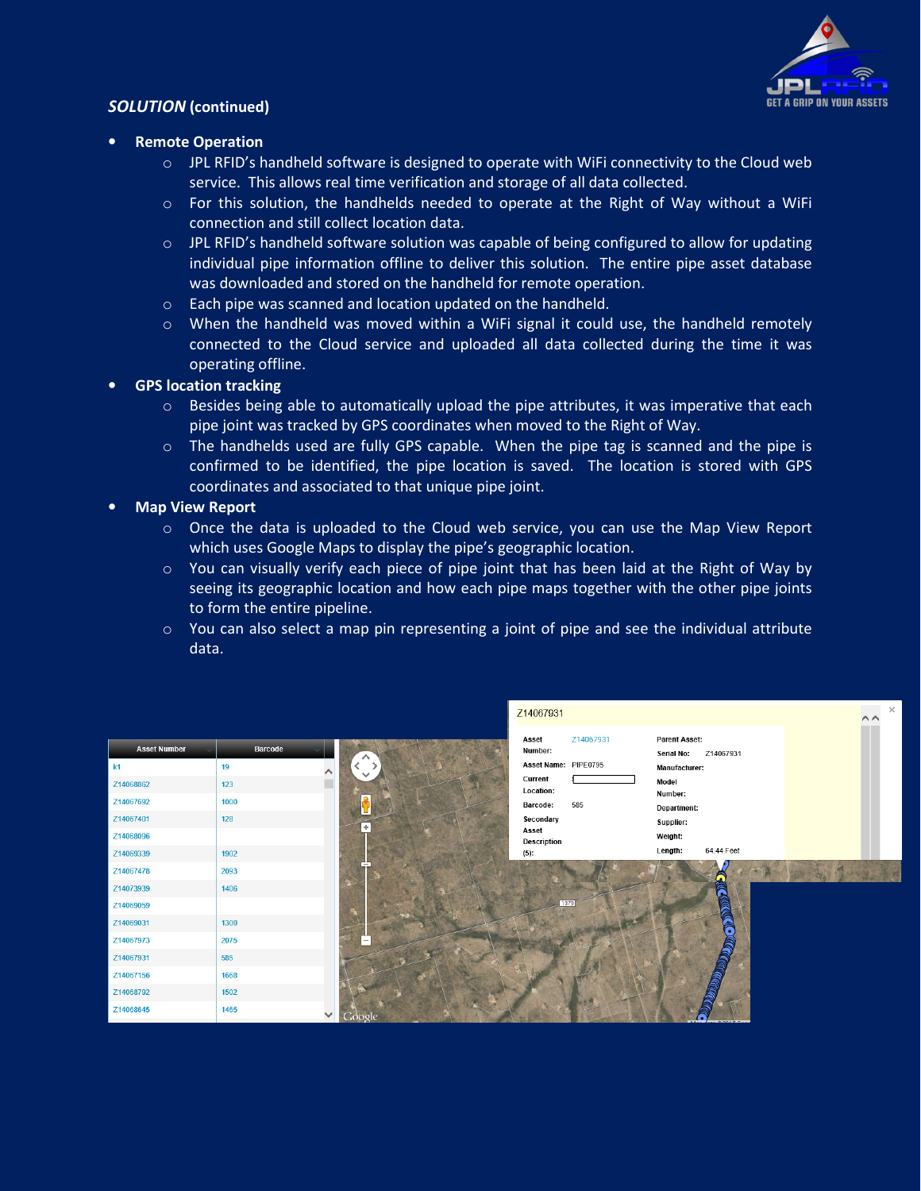

### *SOLUTION* **(continued)**

- **Remote Operation** 
	- $\circ$  JPL RFID's handheld software is designed to operate with WiFi connectivity to the Cloud web service. This allows real time verification and storage of all data collected.
	- $\circ$  For this solution, the handhelds needed to operate at the Right of Way without a WiFi connection and still collect location data.
	- $\circ$  JPL RFID's handheld software solution was capable of being configured to allow for updating individual pipe information offline to deliver this solution. The entire pipe asset database was downloaded and stored on the handheld for remote operation.
	- o Each pipe was scanned and location updated on the handheld.
	- $\circ$  When the handheld was moved within a WiFi signal it could use, the handheld remotely connected to the Cloud service and uploaded all data collected during the time it was operating offline.
- **GPS location tracking** 
	- $\circ$  Besides being able to automatically upload the pipe attributes, it was imperative that each pipe joint was tracked by GPS coordinates when moved to the Right of Way.
	- o The handhelds used are fully GPS capable. When the pipe tag is scanned and the pipe is confirmed to be identified, the pipe location is saved. The location is stored with GPS coordinates and associated to that unique pipe joint.

### • **Map View Report**

- $\circ$  Once the data is uploaded to the Cloud web service, you can use the Map View Report which uses Google Maps to display the pipe's geographic location.
- $\circ$  You can visually verify each piece of pipe joint that has been laid at the Right of Way by seeing its geographic location and how each pipe maps together with the other pipe joints to form the entire pipeline.
- $\circ$  You can also select a map pin representing a joint of pipe and see the individual attribute data.

|                     |                      |                | Z14067931                       |                                                 | $\times$<br>$\wedge\wedge$ |
|---------------------|----------------------|----------------|---------------------------------|-------------------------------------------------|----------------------------|
| <b>Asset Number</b> | Barcode              | ∧              | Z14067931<br>Asset<br>Number:   | <b>Parent Asset:</b><br>Z14067931<br>Serial No: |                            |
| k1                  | 19<br>∧              |                | Asset Name: PIPE0795<br>Current | <b>Manufacturer:</b>                            |                            |
| Z14068862           | 123                  |                | Location:                       | Model<br>Number:                                |                            |
| Z14067692           | 1000                 | $\bullet$<br>ш | Barcode:<br>585                 | Department:                                     |                            |
| Z14067401           | 128                  | $+$            | Secondary                       | Supplier:                                       |                            |
| Z14068096           |                      |                | Asset<br><b>Description</b>     | Weight:                                         |                            |
| Z14069339           | 1902                 |                | $(5)$ :                         | 64.44 Feet<br>Length:                           |                            |
| Z14067478           | 2093                 |                |                                 |                                                 |                            |
| Z14073939           | 1406                 |                |                                 |                                                 |                            |
| Z14069059           |                      |                | 1379                            |                                                 |                            |
| Z14069031           | 1300                 |                |                                 | <b>ORTHUGHER</b>                                |                            |
| Z14067973           | 2075                 | $\overline{a}$ |                                 |                                                 |                            |
| Z14067931           | 585                  |                |                                 | <b>ROSE</b>                                     |                            |
| Z14067156           | 1668                 |                |                                 |                                                 |                            |
| Z14068792           | 1502                 |                |                                 | <b>REGICAL CO.</b>                              |                            |
| Z14068645           | 1465<br>$\checkmark$ | Google         |                                 |                                                 |                            |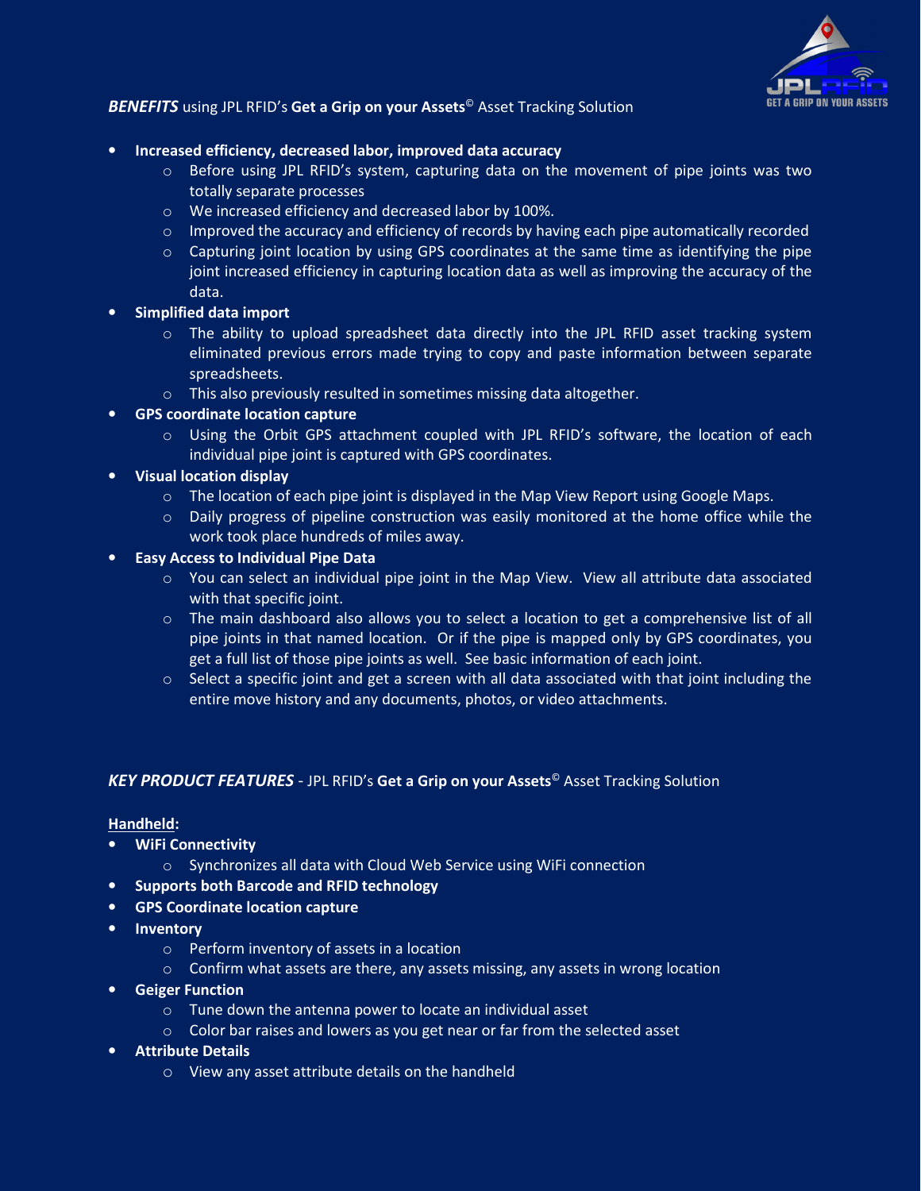

# *BENEFITS* using JPL RFID's **Get a Grip on your Assets**© Asset Tracking Solution

#### • **Increased efficiency, decreased labor, improved data accuracy**

- $\circ$  Before using JPL RFID's system, capturing data on the movement of pipe joints was two totally separate processes
- o We increased efficiency and decreased labor by 100%.
- o Improved the accuracy and efficiency of records by having each pipe automatically recorded
- $\circ$  Capturing joint location by using GPS coordinates at the same time as identifying the pipe joint increased efficiency in capturing location data as well as improving the accuracy of the data.
- **Simplified data import** 
	- $\circ$  The ability to upload spreadsheet data directly into the JPL RFID asset tracking system eliminated previous errors made trying to copy and paste information between separate spreadsheets.
	- o This also previously resulted in sometimes missing data altogether.
- **GPS coordinate location capture** 
	- $\circ$  Using the Orbit GPS attachment coupled with JPL RFID's software, the location of each individual pipe joint is captured with GPS coordinates.
- **Visual location display** 
	- $\circ$  The location of each pipe joint is displayed in the Map View Report using Google Maps.
	- $\circ$  Daily progress of pipeline construction was easily monitored at the home office while the work took place hundreds of miles away.
- **Easy Access to Individual Pipe Data** 
	- o You can select an individual pipe joint in the Map View. View all attribute data associated with that specific joint.
	- $\circ$  The main dashboard also allows you to select a location to get a comprehensive list of all pipe joints in that named location. Or if the pipe is mapped only by GPS coordinates, you get a full list of those pipe joints as well. See basic information of each joint.
	- $\circ$  Select a specific joint and get a screen with all data associated with that joint including the entire move history and any documents, photos, or video attachments.

#### *KEY PRODUCT FEATURES* - JPL RFID's **Get a Grip on your Assets**© Asset Tracking Solution

#### **Handheld:**

- **WiFi Connectivity** 
	- $\circ$  Synchronizes all data with Cloud Web Service using WiFi connection
- **Supports both Barcode and RFID technology**
- **GPS Coordinate location capture**
- **Inventory** 
	- o Perform inventory of assets in a location
	- $\circ$  Confirm what assets are there, any assets missing, any assets in wrong location
- **Geiger Function** 
	- o Tune down the antenna power to locate an individual asset
	- o Color bar raises and lowers as you get near or far from the selected asset
- **Attribute Details** 
	- o View any asset attribute details on the handheld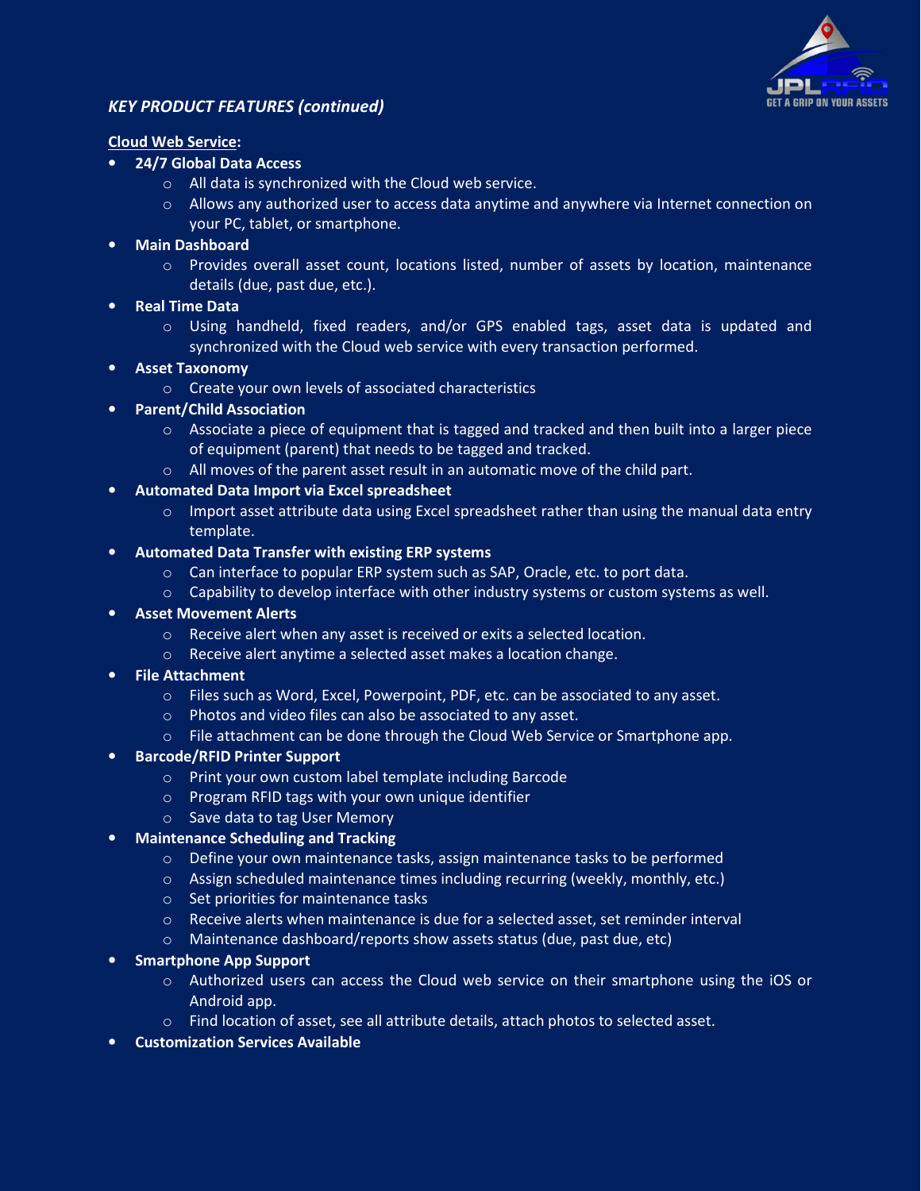

# *KEY PRODUCT FEATURES (continued)*

#### **Cloud Web Service:**

- **24/7 Global Data Access** 
	- o All data is synchronized with the Cloud web service.
	- $\circ$  Allows any authorized user to access data anytime and anywhere via Internet connection on your PC, tablet, or smartphone.
- **Main Dashboard** 
	- Provides overall asset count, locations listed, number of assets by location, maintenance details (due, past due, etc.).
- **Real Time Data** 
	- o Using handheld, fixed readers, and/or GPS enabled tags, asset data is updated and synchronized with the Cloud web service with every transaction performed.
- **Asset Taxonomy** 
	- o Create your own levels of associated characteristics
- **Parent/Child Association** 
	- $\circ$  Associate a piece of equipment that is tagged and tracked and then built into a larger piece of equipment (parent) that needs to be tagged and tracked.
	- o All moves of the parent asset result in an automatic move of the child part.
- **Automated Data Import via Excel spreadsheet** 
	- $\circ$  Import asset attribute data using Excel spreadsheet rather than using the manual data entry template.
- **Automated Data Transfer with existing ERP systems** 
	- $\circ$  Can interface to popular ERP system such as SAP, Oracle, etc. to port data.
	- $\circ$  Capability to develop interface with other industry systems or custom systems as well.
- **Asset Movement Alerts** 
	- $\circ$  Receive alert when any asset is received or exits a selected location.
	- o Receive alert anytime a selected asset makes a location change.
- **File Attachment** 
	- o Files such as Word, Excel, Powerpoint, PDF, etc. can be associated to any asset.
	- o Photos and video files can also be associated to any asset.
	- $\circ$  File attachment can be done through the Cloud Web Service or Smartphone app.
- **Barcode/RFID Printer Support** 
	- o Print your own custom label template including Barcode
	- o Program RFID tags with your own unique identifier
	- o Save data to tag User Memory
- **Maintenance Scheduling and Tracking** 
	- o Define your own maintenance tasks, assign maintenance tasks to be performed
	- $\circ$  Assign scheduled maintenance times including recurring (weekly, monthly, etc.)
	- o Set priorities for maintenance tasks
	- o Receive alerts when maintenance is due for a selected asset, set reminder interval
	- o Maintenance dashboard/reports show assets status (due, past due, etc)
- **Smartphone App Support** 
	- o Authorized users can access the Cloud web service on their smartphone using the iOS or Android app.
	- o Find location of asset, see all attribute details, attach photos to selected asset.
- **Customization Services Available**